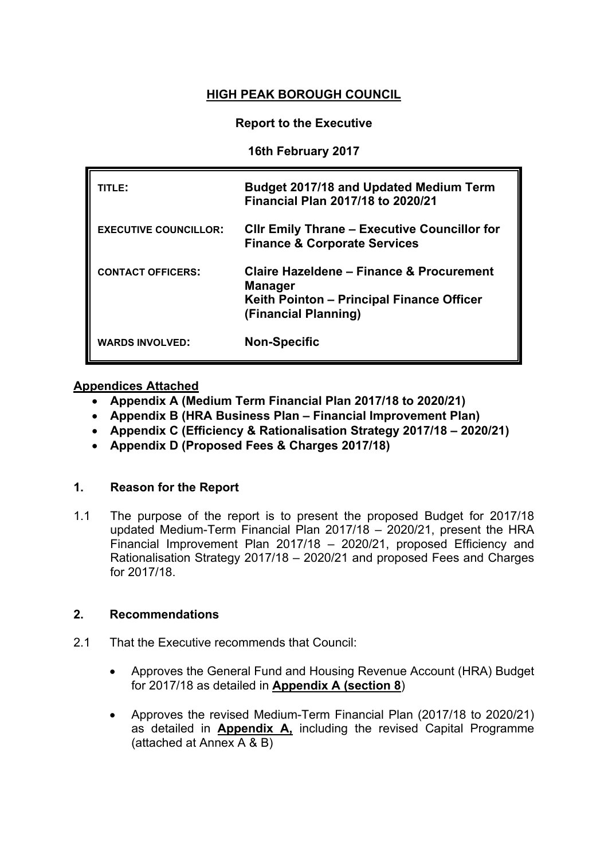# **HIGH PEAK BOROUGH COUNCIL**

### **Report to the Executive**

## **16th February 2017**

| TITLE:                       | <b>Budget 2017/18 and Updated Medium Term</b><br><b>Financial Plan 2017/18 to 2020/21</b>                                       |
|------------------------------|---------------------------------------------------------------------------------------------------------------------------------|
| <b>EXECUTIVE COUNCILLOR:</b> | <b>CIIr Emily Thrane - Executive Councillor for</b><br><b>Finance &amp; Corporate Services</b>                                  |
| <b>CONTACT OFFICERS:</b>     | Claire Hazeldene - Finance & Procurement<br><b>Manager</b><br>Keith Pointon – Principal Finance Officer<br>(Financial Planning) |
| <b>WARDS INVOLVED:</b>       | <b>Non-Specific</b>                                                                                                             |

## **Appendices Attached**

- **[Appendix](http://smdcintranet/committeeagendas/2012-13/Overview%20&%20Scrutiny/Resources/10Oct12/SMDC%20-%20MTFP%20Oct%202012%20(2)Agenda%20Item%207.doc) A (Medium Term Financial Plan 2017/18 to 2020/21)**
- **Appendix B (HRA Business Plan – Financial Improvement Plan)**
- **Appendix C (Efficiency & Rationalisation Strategy 2017/18 – 2020/21)**
- **Appendix D (Proposed Fees & Charges 2017/18)**

#### **1. Reason for the Report**

1.1 The purpose of the report is to present the proposed Budget for 2017/18 updated Medium-Term Financial Plan 2017/18 – 2020/21, present the HRA Financial Improvement Plan 2017/18 – 2020/21, proposed Efficiency and Rationalisation Strategy 2017/18 – 2020/21 and proposed Fees and Charges for 2017/18.

#### **2. Recommendations**

- 2.1 That the Executive recommends that Council:
	- Approves the General Fund and Housing Revenue Account (HRA) Budget for 2017/18 as detailed in **Appendix A (section 8**)
	- Approves the revised Medium-Term Financial Plan (2017/18 to 2020/21) as detailed in **Appendix A,** including the revised Capital Programme (attached at Annex A & B)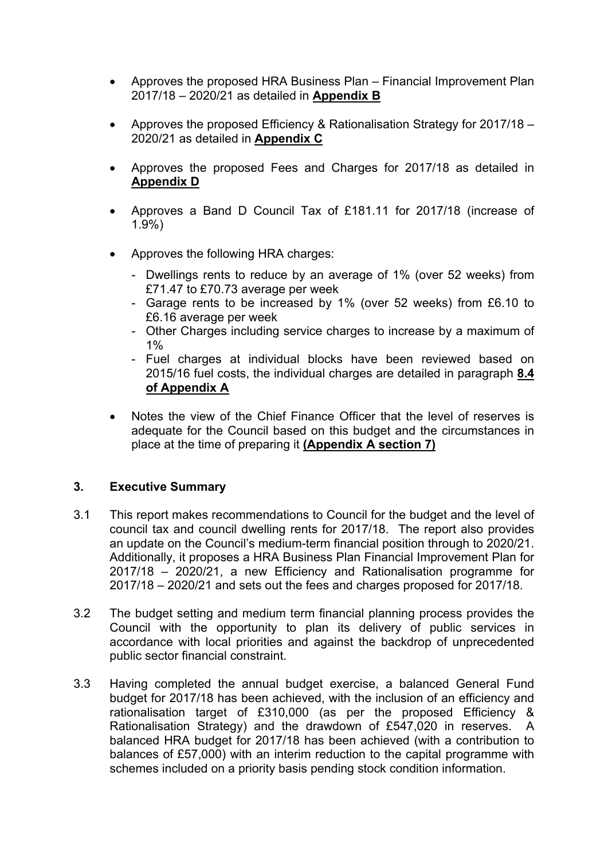- Approves the proposed HRA Business Plan Financial Improvement Plan 2017/18 – 2020/21 as detailed in **Appendix B**
- Approves the proposed Efficiency & Rationalisation Strategy for 2017/18 2020/21 as detailed in **Appendix C**
- Approves the proposed Fees and Charges for 2017/18 as detailed in **Appendix D**
- Approves a Band D Council Tax of £181.11 for 2017/18 (increase of 1.9%)
- Approves the following HRA charges:
	- Dwellings rents to reduce by an average of 1% (over 52 weeks) from £71.47 to £70.73 average per week
	- Garage rents to be increased by 1% (over 52 weeks) from £6.10 to £6.16 average per week
	- Other Charges including service charges to increase by a maximum of  $1\%$
	- Fuel charges at individual blocks have been reviewed based on 2015/16 fuel costs, the individual charges are detailed in paragraph **8.4 of Appendix A**
- Notes the view of the Chief Finance Officer that the level of reserves is adequate for the Council based on this budget and the circumstances in place at the time of preparing it **(Appendix A section 7)**

# **3. Executive Summary**

- 3.1 This report makes recommendations to Council for the budget and the level of council tax and council dwelling rents for 2017/18. The report also provides an update on the Council's medium-term financial position through to 2020/21. Additionally, it proposes a HRA Business Plan Financial Improvement Plan for 2017/18 – 2020/21, a new Efficiency and Rationalisation programme for 2017/18 – 2020/21 and sets out the fees and charges proposed for 2017/18.
- 3.2 The budget setting and medium term financial planning process provides the Council with the opportunity to plan its delivery of public services in accordance with local priorities and against the backdrop of unprecedented public sector financial constraint.
- 3.3 Having completed the annual budget exercise, a balanced General Fund budget for 2017/18 has been achieved, with the inclusion of an efficiency and rationalisation target of £310,000 (as per the proposed Efficiency & Rationalisation Strategy) and the drawdown of £547,020 in reserves. A balanced HRA budget for 2017/18 has been achieved (with a contribution to balances of £57,000) with an interim reduction to the capital programme with schemes included on a priority basis pending stock condition information.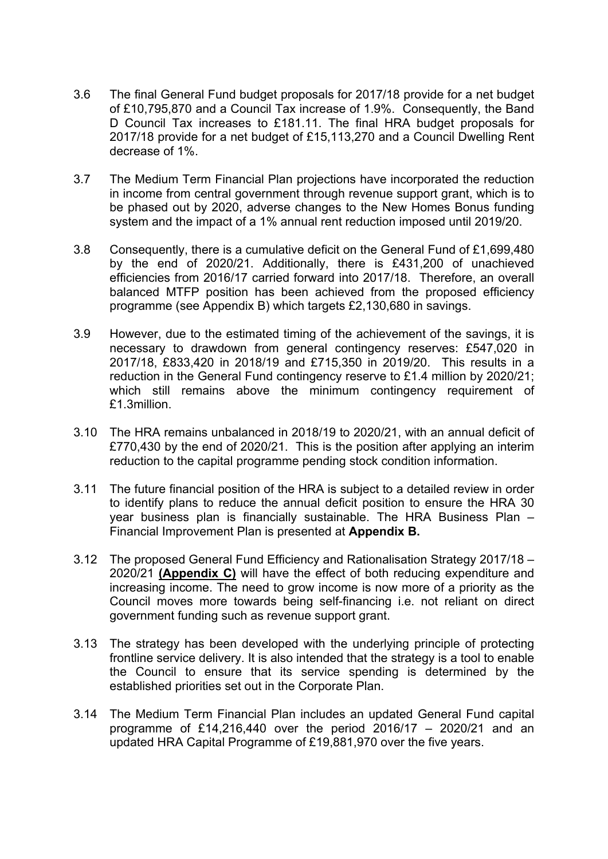- 3.6 The final General Fund budget proposals for 2017/18 provide for a net budget of £10,795,870 and a Council Tax increase of 1.9%. Consequently, the Band D Council Tax increases to £181.11. The final HRA budget proposals for 2017/18 provide for a net budget of £15,113,270 and a Council Dwelling Rent decrease of 1%.
- 3.7 The Medium Term Financial Plan projections have incorporated the reduction in income from central government through revenue support grant, which is to be phased out by 2020, adverse changes to the New Homes Bonus funding system and the impact of a 1% annual rent reduction imposed until 2019/20.
- 3.8 Consequently, there is a cumulative deficit on the General Fund of £1,699,480 by the end of 2020/21. Additionally, there is £431,200 of unachieved efficiencies from 2016/17 carried forward into 2017/18. Therefore, an overall balanced MTFP position has been achieved from the proposed efficiency programme (see Appendix B) which targets £2,130,680 in savings.
- 3.9 However, due to the estimated timing of the achievement of the savings, it is necessary to drawdown from general contingency reserves: £547,020 in 2017/18, £833,420 in 2018/19 and £715,350 in 2019/20. This results in a reduction in the General Fund contingency reserve to £1.4 million by 2020/21; which still remains above the minimum contingency requirement of £1.3million.
- 3.10 The HRA remains unbalanced in 2018/19 to 2020/21, with an annual deficit of £770,430 by the end of 2020/21. This is the position after applying an interim reduction to the capital programme pending stock condition information.
- 3.11 The future financial position of the HRA is subject to a detailed review in order to identify plans to reduce the annual deficit position to ensure the HRA 30 year business plan is financially sustainable. The HRA Business Plan – Financial Improvement Plan is presented at **Appendix B.**
- 3.12 The proposed General Fund Efficiency and Rationalisation Strategy 2017/18 2020/21 **(Appendix C)** will have the effect of both reducing expenditure and increasing income. The need to grow income is now more of a priority as the Council moves more towards being self-financing i.e. not reliant on direct government funding such as revenue support grant.
- 3.13 The strategy has been developed with the underlying principle of protecting frontline service delivery. It is also intended that the strategy is a tool to enable the Council to ensure that its service spending is determined by the established priorities set out in the Corporate Plan.
- 3.14 The Medium Term Financial Plan includes an updated General Fund capital programme of £14,216,440 over the period 2016/17 – 2020/21 and an updated HRA Capital Programme of £19,881,970 over the five years.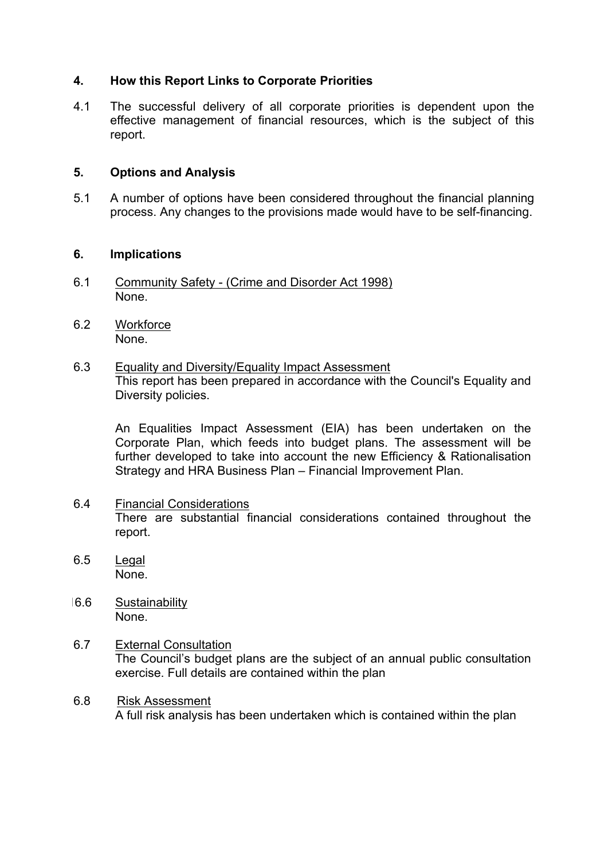## **4. How this Report Links to Corporate Priorities**

4.1 The successful delivery of all corporate priorities is dependent upon the effective management of financial resources, which is the subject of this report.

### **5. Options and Analysis**

5.1 A number of options have been considered throughout the financial planning process. Any changes to the provisions made would have to be self-financing.

#### **6. Implications**

- 6.1 Community Safety (Crime and Disorder Act 1998) None.
- 6.2 Workforce None.
- 6.3 Equality and Diversity/Equality Impact Assessment This report has been prepared in accordance with the Council's Equality and Diversity policies.

An Equalities Impact Assessment (EIA) has been undertaken on the Corporate Plan, which feeds into budget plans. The assessment will be further developed to take into account the new Efficiency & Rationalisation Strategy and HRA Business Plan – Financial Improvement Plan.

- 6.4 Financial Considerations There are substantial financial considerations contained throughout the report.
- 6.5 Legal None.
- 16.6 Sustainability None.
- 6.7 External Consultation The Council's budget plans are the subject of an annual public consultation exercise. Full details are contained within the plan
- 6.8 Risk Assessment A full risk analysis has been undertaken which is contained within the plan